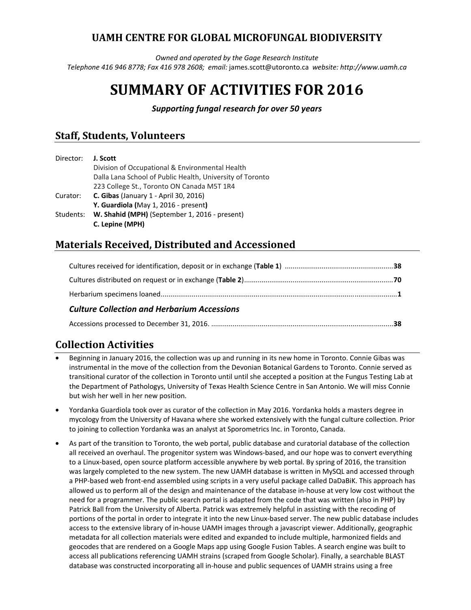# **UAMH CENTRE FOR GLOBAL MICROFUNGAL BIODIVERSITY**

*Owned and operated by the Gage Research Institute Telephone 416 946 8778; Fax 416 978 2608; email:* james.scott@utoronto.ca *website: http://www.uamh.ca* 

# **SUMMARY OF ACTIVITIES FOR 2016**

*Supporting fungal research for over 50 years* 

# **Staff, Students, Volunteers**

| J. Scott                                                   |
|------------------------------------------------------------|
| Division of Occupational & Environmental Health            |
| Dalla Lana School of Public Health, University of Toronto  |
| 223 College St., Toronto ON Canada M5T 1R4                 |
| <b>C. Gibas</b> (January 1 - April 30, 2016)               |
| Y. Guardiola (May 1, 2016 - present)                       |
| W. Shahid (MPH) (September 1, 2016 - present)<br>Students: |
| C. Lepine (MPH)                                            |
|                                                            |

# **Materials Received, Distributed and Accessioned**

| <b>Culture Collection and Herbarium Accessions</b> |  |
|----------------------------------------------------|--|

#### Accessions processed to December 31, 2016. .............................................................................................. **38**

# **Collection Activities**

- Beginning in January 2016, the collection was up and running in its new home in Toronto. Connie Gibas was instrumental in the move of the collection from the Devonian Botanical Gardens to Toronto. Connie served as transitional curator of the collection in Toronto until until she accepted a position at the Fungus Testing Lab at the Department of Pathologys, University of Texas Health Science Centre in San Antonio. We will miss Connie but wish her well in her new position.
- Yordanka Guardiola took over as curator of the collection in May 2016. Yordanka holds a masters degree in mycology from the University of Havana where she worked extensively with the fungal culture collection. Prior to joining to collection Yordanka was an analyst at Sporometrics Inc. in Toronto, Canada.
- As part of the transition to Toronto, the web portal, public database and curatorial database of the collection all received an overhaul. The progenitor system was Windows-based, and our hope was to convert everything to a Linux-based, open source platform accessible anywhere by web portal. By spring of 2016, the transition was largely completed to the new system. The new UAMH database is written in MySQL and accessed through a PHP-based web front-end assembled using scripts in a very useful package called DaDaBiK. This approach has allowed us to perform all of the design and maintenance of the database in-house at very low cost without the need for a programmer. The public search portal is adapted from the code that was written (also in PHP) by Patrick Ball from the University of Alberta. Patrick was extremely helpful in assisting with the recoding of portions of the portal in order to integrate it into the new Linux-based server. The new public database includes access to the extensive library of in-house UAMH images through a javascript viewer. Additionally, geographic metadata for all collection materials were edited and expanded to include multiple, harmonized fields and geocodes that are rendered on a Google Maps app using Google Fusion Tables. A search engine was built to access all publications referencing UAMH strains (scraped from Google Scholar). Finally, a searchable BLAST database was constructed incorporating all in-house and public sequences of UAMH strains using a free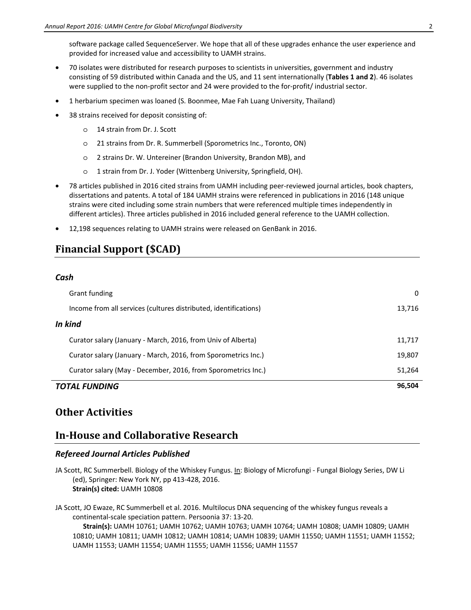software package called SequenceServer. We hope that all of these upgrades enhance the user experience and provided for increased value and accessibility to UAMH strains.

- 70 isolates were distributed for research purposes to scientists in universities, government and industry consisting of 59 distributed within Canada and the US, and 11 sent internationally (**Tables 1 and 2**). 46 isolates were supplied to the non-profit sector and 24 were provided to the for-profit/ industrial sector.
- 1 herbarium specimen was loaned (S. Boonmee, Mae Fah Luang University, Thailand)
- 38 strains received for deposit consisting of:
	- o 14 strain from Dr. J. Scott
	- o 21 strains from Dr. R. Summerbell (Sporometrics Inc., Toronto, ON)
	- o 2 strains Dr. W. Untereiner (Brandon University, Brandon MB), and
	- o 1 strain from Dr. J. Yoder (Wittenberg University, Springfield, OH).
- 78 articles published in 2016 cited strains from UAMH including peer-reviewed journal articles, book chapters, dissertations and patents. A total of 184 UAMH strains were referenced in publications in 2016 (148 unique strains were cited including some strain numbers that were referenced multiple times independently in different articles). Three articles published in 2016 included general reference to the UAMH collection.
- 12,198 sequences relating to UAMH strains were released on GenBank in 2016.

# **Financial Support (\$CAD)**

#### *Cash*

| <i><b>TOTAL FUNDING</b></i>                                      |        |
|------------------------------------------------------------------|--------|
| Curator salary (May - December, 2016, from Sporometrics Inc.)    | 51,264 |
| Curator salary (January - March, 2016, from Sporometrics Inc.)   | 19,807 |
| Curator salary (January - March, 2016, from Univ of Alberta)     | 11.717 |
| In kind                                                          |        |
| Income from all services (cultures distributed, identifications) | 13.716 |
| Grant funding                                                    | 0      |

## **Other Activities**

## **In-House and Collaborative Research**

#### *Refereed Journal Articles Published*

JA Scott, RC Summerbell. Biology of the Whiskey Fungus. In: Biology of Microfungi - Fungal Biology Series, DW Li (ed), Springer: New York NY, pp 413-428, 2016. **Strain(s) cited:** UAMH 10808

JA Scott, JO Ewaze, RC Summerbell et al. 2016. Multilocus DNA sequencing of the whiskey fungus reveals a continental-scale speciation pattern. Persoonia 37: 13-20.  **Strain(s):** UAMH 10761; UAMH 10762; UAMH 10763; UAMH 10764; UAMH 10808; UAMH 10809; UAMH 10810; UAMH 10811; UAMH 10812; UAMH 10814; UAMH 10839; UAMH 11550; UAMH 11551; UAMH 11552; UAMH 11553; UAMH 11554; UAMH 11555; UAMH 11556; UAMH 11557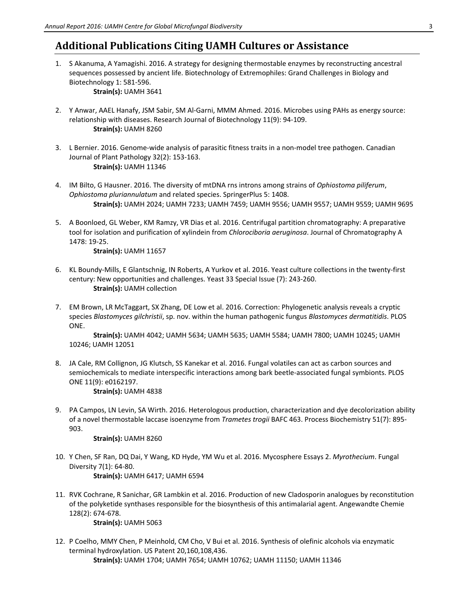# **Additional Publications Citing UAMH Cultures or Assistance**

- 1. S Akanuma, A Yamagishi. 2016. A strategy for designing thermostable enzymes by reconstructing ancestral sequences possessed by ancient life. Biotechnology of Extremophiles: Grand Challenges in Biology and Biotechnology 1: 581-596.  **Strain(s):** UAMH 3641
- 2. Y Anwar, AAEL Hanafy, JSM Sabir, SM Al-Garni, MMM Ahmed. 2016. Microbes using PAHs as energy source: relationship with diseases. Research Journal of Biotechnology 11(9): 94-109.  **Strain(s):** UAMH 8260
- 3. L Bernier. 2016. Genome-wide analysis of parasitic fitness traits in a non-model tree pathogen. Canadian Journal of Plant Pathology 32(2): 153-163.  **Strain(s):** UAMH 11346
- 4. IM Bilto, G Hausner. 2016. The diversity of mtDNA rns introns among strains of *Ophiostoma piliferum*, *Ophiostoma pluriannulatum* and related species. SpringerPlus 5: 1408.  **Strain(s):** UAMH 2024; UAMH 7233; UAMH 7459; UAMH 9556; UAMH 9557; UAMH 9559; UAMH 9695
- 5. A Boonloed, GL Weber, KM Ramzy, VR Dias et al. 2016. Centrifugal partition chromatography: A preparative tool for isolation and purification of xylindein from *Chlorociboria aeruginosa*. Journal of Chromatography A 1478: 19-25.

 **Strain(s):** UAMH 11657

- 6. KL Boundy-Mills, E Glantschnig, IN Roberts, A Yurkov et al. 2016. Yeast culture collections in the twenty-first century: New opportunities and challenges. Yeast 33 Special Issue (7): 243-260.  **Strain(s):** UAMH collection
- 7. EM Brown, LR McTaggart, SX Zhang, DE Low et al. 2016. Correction: Phylogenetic analysis reveals a cryptic species *Blastomyces gilchristii*, sp. nov. within the human pathogenic fungus *Blastomyces dermatitidis*. PLOS ONE.

 **Strain(s):** UAMH 4042; UAMH 5634; UAMH 5635; UAMH 5584; UAMH 7800; UAMH 10245; UAMH 10246; UAMH 12051

8. JA Cale, RM Collignon, JG Klutsch, SS Kanekar et al. 2016. Fungal volatiles can act as carbon sources and semiochemicals to mediate interspecific interactions among bark beetle-associated fungal symbionts. PLOS ONE 11(9): e0162197.

 **Strain(s):** UAMH 4838

9. PA Campos, LN Levin, SA Wirth. 2016. Heterologous production, characterization and dye decolorization ability of a novel thermostable laccase isoenzyme from *Trametes trogii* BAFC 463. Process Biochemistry 51(7): 895- 903.

 **Strain(s):** UAMH 8260

- 10. Y Chen, SF Ran, DQ Dai, Y Wang, KD Hyde, YM Wu et al. 2016. Mycosphere Essays 2. *Myrothecium*. Fungal Diversity 7(1): 64-80.  **Strain(s):** UAMH 6417; UAMH 6594
- 11. RVK Cochrane, R Sanichar, GR Lambkin et al. 2016. Production of new Cladosporin analogues by reconstitution of the polyketide synthases responsible for the biosynthesis of this antimalarial agent. Angewandte Chemie 128(2): 674-678.

 **Strain(s):** UAMH 5063

12. P Coelho, MMY Chen, P Meinhold, CM Cho, V Bui et al. 2016. Synthesis of olefinic alcohols via enzymatic terminal hydroxylation. US Patent 20,160,108,436.  **Strain(s):** UAMH 1704; UAMH 7654; UAMH 10762; UAMH 11150; UAMH 11346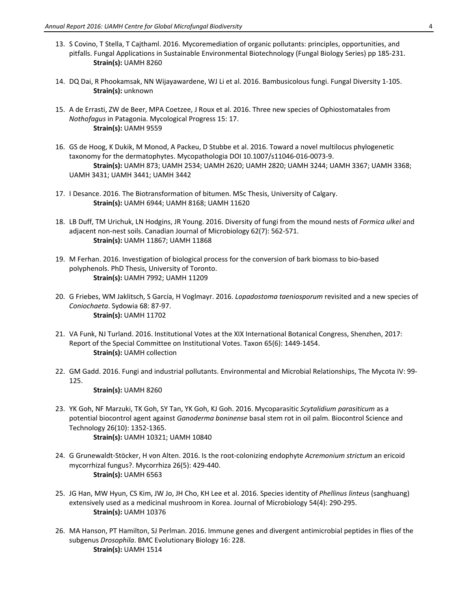- 13. S Covino, T Stella, T Cajthaml. 2016. Mycoremediation of organic pollutants: principles, opportunities, and pitfalls. Fungal Applications in Sustainable Environmental Biotechnology (Fungal Biology Series) pp 185-231.  **Strain(s):** UAMH 8260
- 14. DQ Dai, R Phookamsak, NN Wijayawardene, WJ Li et al. 2016. Bambusicolous fungi. Fungal Diversity 1-105.  **Strain(s):** unknown
- 15. A de Errasti, ZW de Beer, MPA Coetzee, J Roux et al. 2016. Three new species of Ophiostomatales from *Nothofagus* in Patagonia. Mycological Progress 15: 17.  **Strain(s):** UAMH 9559
- 16. GS de Hoog, K Dukik, M Monod, A Packeu, D Stubbe et al. 2016. Toward a novel multilocus phylogenetic taxonomy for the dermatophytes. Mycopathologia DOI 10.1007/s11046-016-0073-9.  **Strain(s):** UAMH 873; UAMH 2534; UAMH 2620; UAMH 2820; UAMH 3244; UAMH 3367; UAMH 3368; UAMH 3431; UAMH 3441; UAMH 3442
- 17. I Desance. 2016. The Biotransformation of bitumen. MSc Thesis, University of Calgary.  **Strain(s):** UAMH 6944; UAMH 8168; UAMH 11620
- 18. LB Duff, TM Urichuk, LN Hodgins, JR Young. 2016. Diversity of fungi from the mound nests of *Formica ulkei* and adjacent non-nest soils. Canadian Journal of Microbiology 62(7): 562-571.  **Strain(s):** UAMH 11867; UAMH 11868
- 19. M Ferhan. 2016. Investigation of biological process for the conversion of bark biomass to bio-based polyphenols. PhD Thesis, University of Toronto.  **Strain(s):** UAMH 7992; UAMH 11209
- 20. G Friebes, WM Jaklitsch, S García, H Voglmayr. 2016. *Lopadostoma taeniosporum* revisited and a new species of *Coniochaeta*. Sydowia 68: 87-97.  **Strain(s):** UAMH 11702
- 21. VA Funk, NJ Turland. 2016. Institutional Votes at the XIX International Botanical Congress, Shenzhen, 2017: Report of the Special Committee on Institutional Votes. Taxon 65(6): 1449-1454.  **Strain(s):** UAMH collection
- 22. GM Gadd. 2016. Fungi and industrial pollutants. Environmental and Microbial Relationships, The Mycota IV: 99- 125.

 **Strain(s):** UAMH 8260

- 23. YK Goh, NF Marzuki, TK Goh, SY Tan, YK Goh, KJ Goh. 2016. Mycoparasitic *Scytalidium parasiticum* as a potential biocontrol agent against *Ganoderma boninense* basal stem rot in oil palm. Biocontrol Science and Technology 26(10): 1352-1365.  **Strain(s):** UAMH 10321; UAMH 10840
- 24. G Grunewaldt-Stöcker, H von Alten. 2016. Is the root-colonizing endophyte *Acremonium strictum* an ericoid mycorrhizal fungus?. Mycorrhiza 26(5): 429-440.  **Strain(s):** UAMH 6563
- 25. JG Han, MW Hyun, CS Kim, JW Jo, JH Cho, KH Lee et al. 2016. Species identity of *Phellinus linteus* (sanghuang) extensively used as a medicinal mushroom in Korea. Journal of Microbiology 54(4): 290-295.  **Strain(s):** UAMH 10376
- 26. MA Hanson, PT Hamilton, SJ Perlman. 2016. Immune genes and divergent antimicrobial peptides in flies of the subgenus *Drosophila*. BMC Evolutionary Biology 16: 228.  **Strain(s):** UAMH 1514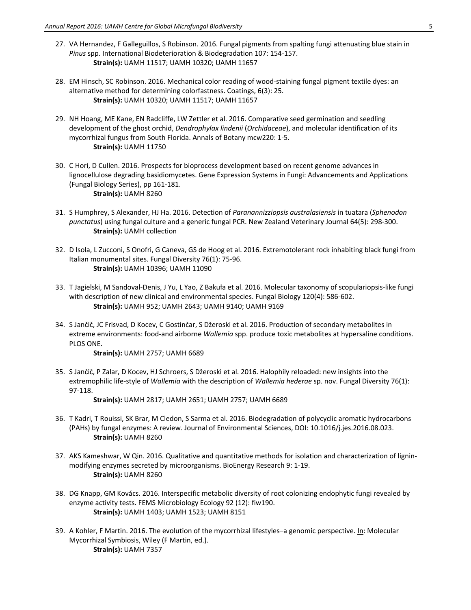- 27. VA Hernandez, F Galleguillos, S Robinson. 2016. Fungal pigments from spalting fungi attenuating blue stain in *Pinus* spp. International Biodeterioration & Biodegradation 107: 154-157.  **Strain(s):** UAMH 11517; UAMH 10320; UAMH 11657
- 28. EM Hinsch, SC Robinson. 2016. Mechanical color reading of wood-staining fungal pigment textile dyes: an alternative method for determining colorfastness. Coatings, 6(3): 25.  **Strain(s):** UAMH 10320; UAMH 11517; UAMH 11657
- 29. NH Hoang, ME Kane, EN Radcliffe, LW Zettler et al. 2016. Comparative seed germination and seedling development of the ghost orchid, *Dendrophylax lindenii* (*Orchidaceae*), and molecular identification of its mycorrhizal fungus from South Florida. Annals of Botany mcw220: 1-5.  **Strain(s):** UAMH 11750
- 30. C Hori, D Cullen. 2016. Prospects for bioprocess development based on recent genome advances in lignocellulose degrading basidiomycetes. Gene Expression Systems in Fungi: Advancements and Applications (Fungal Biology Series), pp 161-181.  **Strain(s):** UAMH 8260
- 31. S Humphrey, S Alexander, HJ Ha. 2016. Detection of *Paranannizziopsis australasiensis* in tuatara (*Sphenodon punctatus*) using fungal culture and a generic fungal PCR. New Zealand Veterinary Journal 64(5): 298-300.  **Strain(s):** UAMH collection
- 32. D Isola, L Zucconi, S Onofri, G Caneva, GS de Hoog et al. 2016. Extremotolerant rock inhabiting black fungi from Italian monumental sites. Fungal Diversity 76(1): 75-96.  **Strain(s):** UAMH 10396; UAMH 11090
- 33. T Jagielski, M Sandoval-Denis, J Yu, L Yao, Z Bakuła et al. 2016. Molecular taxonomy of scopulariopsis-like fungi with description of new clinical and environmental species. Fungal Biology 120(4): 586-602.  **Strain(s):** UAMH 952; UAMH 2643; UAMH 9140; UAMH 9169
- 34. S Jančič, JC Frisvad, D Kocev, C Gostinčar, S Džeroski et al. 2016. Production of secondary metabolites in extreme environments: food-and airborne *Wallemia* spp. produce toxic metabolites at hypersaline conditions. PLOS ONE.

 **Strain(s):** UAMH 2757; UAMH 6689

35. S Jančič, P Zalar, D Kocev, HJ Schroers, S Džeroski et al. 2016. Halophily reloaded: new insights into the extremophilic life-style of *Wallemia* with the description of *Wallemia hederae* sp. nov. Fungal Diversity 76(1): 97-118.

 **Strain(s):** UAMH 2817; UAMH 2651; UAMH 2757; UAMH 6689

- 36. T Kadri, T Rouissi, SK Brar, M Cledon, S Sarma et al. 2016. Biodegradation of polycyclic aromatic hydrocarbons (PAHs) by fungal enzymes: A review. Journal of Environmental Sciences, DOI: 10.1016/j.jes.2016.08.023.  **Strain(s):** UAMH 8260
- 37. AKS Kameshwar, W Qin. 2016. Qualitative and quantitative methods for isolation and characterization of ligninmodifying enzymes secreted by microorganisms. BioEnergy Research 9: 1-19.  **Strain(s):** UAMH 8260
- 38. DG Knapp, GM Kovács. 2016. Interspecific metabolic diversity of root colonizing endophytic fungi revealed by enzyme activity tests. FEMS Microbiology Ecology 92 (12): fiw190.  **Strain(s):** UAMH 1403; UAMH 1523; UAMH 8151
- 39. A Kohler, F Martin. 2016. The evolution of the mycorrhizal lifestyles–a genomic perspective. In: Molecular Mycorrhizal Symbiosis, Wiley (F Martin, ed.).  **Strain(s):** UAMH 7357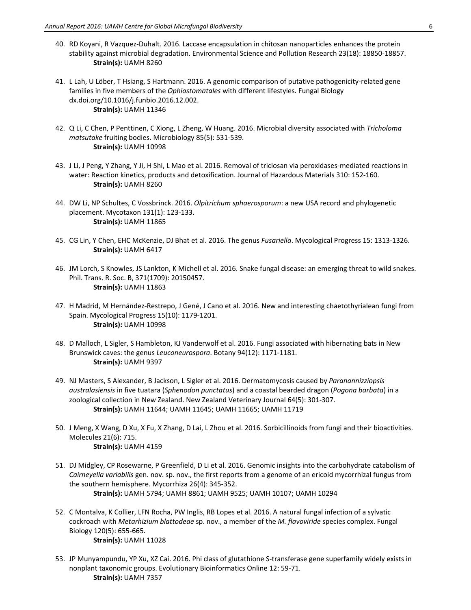- 40. RD Koyani, R Vazquez-Duhalt. 2016. Laccase encapsulation in chitosan nanoparticles enhances the protein stability against microbial degradation. Environmental Science and Pollution Research 23(18): 18850-18857.  **Strain(s):** UAMH 8260
- 41. L Lah, U Löber, T Hsiang, S Hartmann. 2016. A genomic comparison of putative pathogenicity-related gene families in five members of the *Ophiostomatales* with different lifestyles. Fungal Biology dx.doi.org/10.1016/j.funbio.2016.12.002.  **Strain(s):** UAMH 11346
- 42. Q Li, C Chen, P Penttinen, C Xiong, L Zheng, W Huang. 2016. Microbial diversity associated with *Tricholoma matsutake* fruiting bodies. Microbiology 85(5): 531-539.  **Strain(s):** UAMH 10998
- 43. J Li, J Peng, Y Zhang, Y Ji, H Shi, L Mao et al. 2016. Removal of triclosan via peroxidases-mediated reactions in water: Reaction kinetics, products and detoxification. Journal of Hazardous Materials 310: 152-160.  **Strain(s):** UAMH 8260
- 44. DW Li, NP Schultes, C Vossbrinck. 2016. *Olpitrichum sphaerosporum*: a new USA record and phylogenetic placement. Mycotaxon 131(1): 123-133.  **Strain(s):** UAMH 11865
- 45. CG Lin, Y Chen, EHC McKenzie, DJ Bhat et al. 2016. The genus *Fusariella*. Mycological Progress 15: 1313-1326.  **Strain(s):** UAMH 6417
- 46. JM Lorch, S Knowles, JS Lankton, K Michell et al. 2016. Snake fungal disease: an emerging threat to wild snakes. Phil. Trans. R. Soc. B, 371(1709): 20150457.  **Strain(s):** UAMH 11863
- 47. H Madrid, M Hernández-Restrepo, J Gené, J Cano et al. 2016. New and interesting chaetothyrialean fungi from Spain. Mycological Progress 15(10): 1179-1201.  **Strain(s):** UAMH 10998
- 48. D Malloch, L Sigler, S Hambleton, KJ Vanderwolf et al. 2016. Fungi associated with hibernating bats in New Brunswick caves: the genus *Leuconeurospora*. Botany 94(12): 1171-1181.  **Strain(s):** UAMH 9397
- 49. NJ Masters, S Alexander, B Jackson, L Sigler et al. 2016. Dermatomycosis caused by *Paranannizziopsis australasiensis* in five tuatara (*Sphenodon punctatus*) and a coastal bearded dragon (*Pogona barbata*) in a zoological collection in New Zealand. New Zealand Veterinary Journal 64(5): 301-307.  **Strain(s):** UAMH 11644; UAMH 11645; UAMH 11665; UAMH 11719
- 50. J Meng, X Wang, D Xu, X Fu, X Zhang, D Lai, L Zhou et al. 2016. Sorbicillinoids from fungi and their bioactivities. Molecules 21(6): 715.  **Strain(s):** UAMH 4159
- 51. DJ Midgley, CP Rosewarne, P Greenfield, D Li et al. 2016. Genomic insights into the carbohydrate catabolism of *Cairneyella variabilis* gen. nov. sp. nov., the first reports from a genome of an ericoid mycorrhizal fungus from the southern hemisphere. Mycorrhiza 26(4): 345-352.  **Strain(s):** UAMH 5794; UAMH 8861; UAMH 9525; UAMH 10107; UAMH 10294
- 52. C Montalva, K Collier, LFN Rocha, PW Inglis, RB Lopes et al. 2016. A natural fungal infection of a sylvatic cockroach with *Metarhizium blattodeae* sp. nov., a member of the *M. flavoviride* species complex. Fungal Biology 120(5): 655-665.

```
 Strain(s): UAMH 11028
```
53. JP Munyampundu, YP Xu, XZ Cai. 2016. Phi class of glutathione S-transferase gene superfamily widely exists in nonplant taxonomic groups. Evolutionary Bioinformatics Online 12: 59-71.  **Strain(s):** UAMH 7357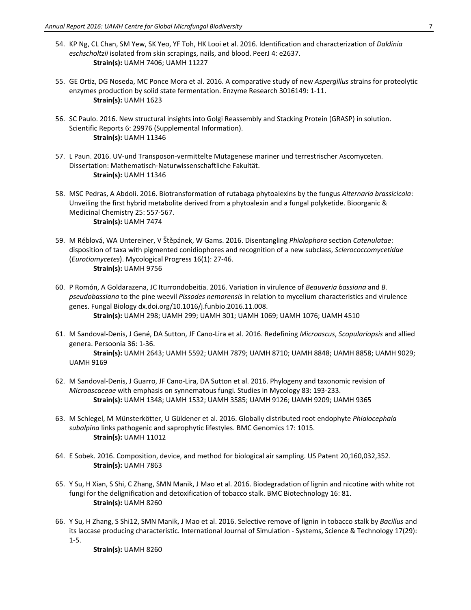- 54. KP Ng, CL Chan, SM Yew, SK Yeo, YF Toh, HK Looi et al. 2016. Identification and characterization of *Daldinia eschscholtzii* isolated from skin scrapings, nails, and blood. PeerJ 4: e2637.  **Strain(s):** UAMH 7406; UAMH 11227
- 55. GE Ortiz, DG Noseda, MC Ponce Mora et al. 2016. A comparative study of new *Aspergillus* strains for proteolytic enzymes production by solid state fermentation. Enzyme Research 3016149: 1-11.  **Strain(s):** UAMH 1623
- 56. SC Paulo. 2016. New structural insights into Golgi Reassembly and Stacking Protein (GRASP) in solution. Scientific Reports 6: 29976 (Supplemental Information).  **Strain(s):** UAMH 11346
- 57. L Paun. 2016. UV-und Transposon-vermittelte Mutagenese mariner und terrestrischer Ascomyceten. Dissertation: Mathematisch-Naturwissenschaftliche Fakultät.  **Strain(s):** UAMH 11346
- 58. MSC Pedras, A Abdoli. 2016. Biotransformation of rutabaga phytoalexins by the fungus *Alternaria brassicicola*: Unveiling the first hybrid metabolite derived from a phytoalexin and a fungal polyketide. Bioorganic & Medicinal Chemistry 25: 557-567.  **Strain(s):** UAMH 7474
- 59. M Réblová, WA Untereiner, V Štěpánek, W Gams. 2016. Disentangling *Phialophora* section *Catenulatae*: disposition of taxa with pigmented conidiophores and recognition of a new subclass, *Sclerococcomycetidae* (*Eurotiomycetes*). Mycological Progress 16(1): 27-46.  **Strain(s):** UAMH 9756
- 60. P Romón, A Goldarazena, JC Iturrondobeitia. 2016. Variation in virulence of *Beauveria bassiana* and *B. pseudobassiana* to the pine weevil *Pissodes nemorensis* in relation to mycelium characteristics and virulence genes. Fungal Biology dx.doi.org/10.1016/j.funbio.2016.11.008.  **Strain(s):** UAMH 298; UAMH 299; UAMH 301; UAMH 1069; UAMH 1076; UAMH 4510
- 61. M Sandoval-Denis, J Gené, DA Sutton, JF Cano-Lira et al. 2016. Redefining *Microascus*, *Scopulariopsis* and allied genera. Persoonia 36: 1-36.

 **Strain(s):** UAMH 2643; UAMH 5592; UAMH 7879; UAMH 8710; UAMH 8848; UAMH 8858; UAMH 9029; UAMH 9169

- 62. M Sandoval-Denis, J Guarro, JF Cano-Lira, DA Sutton et al. 2016. Phylogeny and taxonomic revision of *Microascaceae* with emphasis on synnematous fungi. Studies in Mycology 83: 193-233.  **Strain(s):** UAMH 1348; UAMH 1532; UAMH 3585; UAMH 9126; UAMH 9209; UAMH 9365
- 63. M Schlegel, M Münsterkötter, U Güldener et al. 2016. Globally distributed root endophyte *Phialocephala subalpina* links pathogenic and saprophytic lifestyles. BMC Genomics 17: 1015.  **Strain(s):** UAMH 11012
- 64. E Sobek. 2016. Composition, device, and method for biological air sampling. US Patent 20,160,032,352.  **Strain(s):** UAMH 7863
- 65. Y Su, H Xian, S Shi, C Zhang, SMN Manik, J Mao et al. 2016. Biodegradation of lignin and nicotine with white rot fungi for the delignification and detoxification of tobacco stalk. BMC Biotechnology 16: 81.  **Strain(s):** UAMH 8260
- 66. Y Su, H Zhang, S Shi12, SMN Manik, J Mao et al. 2016. Selective remove of lignin in tobacco stalk by *Bacillus* and its laccase producing characteristic. International Journal of Simulation - Systems, Science & Technology 17(29): 1-5.

 **Strain(s):** UAMH 8260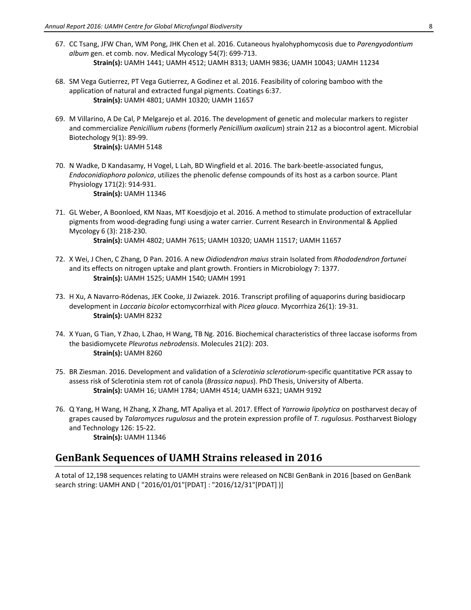- 67. CC Tsang, JFW Chan, WM Pong, JHK Chen et al. 2016. Cutaneous hyalohyphomycosis due to *Parengyodontium album* gen. et comb. nov. Medical Mycology 54(7): 699-713.  **Strain(s):** UAMH 1441; UAMH 4512; UAMH 8313; UAMH 9836; UAMH 10043; UAMH 11234
- 68. SM Vega Gutierrez, PT Vega Gutierrez, A Godinez et al. 2016. Feasibility of coloring bamboo with the application of natural and extracted fungal pigments. Coatings 6:37.  **Strain(s):** UAMH 4801; UAMH 10320; UAMH 11657
- 69. M Villarino, A De Cal, P Melgarejo et al. 2016. The development of genetic and molecular markers to register and commercialize *Penicillium rubens* (formerly *Penicillium oxalicum*) strain 212 as a biocontrol agent. Microbial Biotechology 9(1): 89-99.  **Strain(s):** UAMH 5148
- 70. N Wadke, D Kandasamy, H Vogel, L Lah, BD Wingfield et al. 2016. The bark-beetle-associated fungus, *Endoconidiophora polonica*, utilizes the phenolic defense compounds of its host as a carbon source. Plant Physiology 171(2): 914-931.  **Strain(s):** UAMH 11346
- 71. GL Weber, A Boonloed, KM Naas, MT Koesdjojo et al. 2016. A method to stimulate production of extracellular pigments from wood-degrading fungi using a water carrier. Current Research in Environmental & Applied Mycology 6 (3): 218-230.  **Strain(s):** UAMH 4802; UAMH 7615; UAMH 10320; UAMH 11517; UAMH 11657
- 72. X Wei, J Chen, C Zhang, D Pan. 2016. A new *Oidiodendron maius* strain Isolated from *Rhododendron fortunei* and its effects on nitrogen uptake and plant growth. Frontiers in Microbiology 7: 1377.  **Strain(s):** UAMH 1525; UAMH 1540; UAMH 1991
- 73. H Xu, A Navarro-Ródenas, JEK Cooke, JJ Zwiazek. 2016. Transcript profiling of aquaporins during basidiocarp development in *Laccaria bicolor* ectomycorrhizal with *Picea glauca*. Mycorrhiza 26(1): 19-31.  **Strain(s):** UAMH 8232
- 74. X Yuan, G Tian, Y Zhao, L Zhao, H Wang, TB Ng. 2016. Biochemical characteristics of three laccase isoforms from the basidiomycete *Pleurotus nebrodensis*. Molecules 21(2): 203.  **Strain(s):** UAMH 8260
- 75. BR Ziesman. 2016. Development and validation of a *Sclerotinia sclerotiorum*-specific quantitative PCR assay to assess risk of Sclerotinia stem rot of canola (*Brassica napus*). PhD Thesis, University of Alberta.  **Strain(s):** UAMH 16; UAMH 1784; UAMH 4514; UAMH 6321; UAMH 9192
- 76. Q Yang, H Wang, H Zhang, X Zhang, MT Apaliya et al. 2017. Effect of *Yarrowia lipolytica* on postharvest decay of grapes caused by *Talaromyces rugulosus* and the protein expression profile of *T. rugulosus*. Postharvest Biology and Technology 126: 15-22.  **Strain(s):** UAMH 11346

# **GenBank Sequences of UAMH Strains released in 2016**

A total of 12,198 sequences relating to UAMH strains were released on NCBI GenBank in 2016 [based on GenBank search string: UAMH AND ( "2016/01/01"[PDAT] : "2016/12/31"[PDAT] )]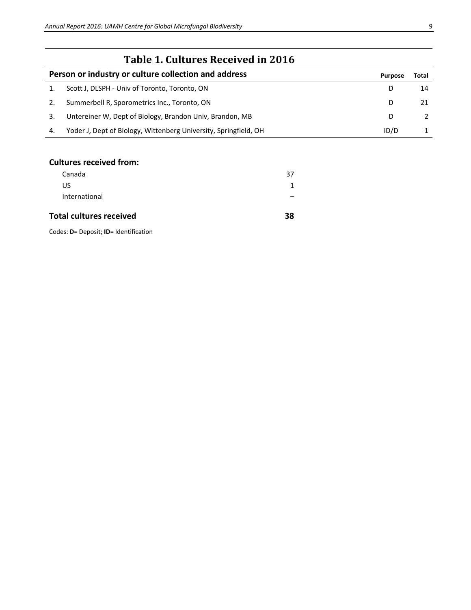|    | Table 1. Cultures Received in 2016                               |         |       |
|----|------------------------------------------------------------------|---------|-------|
|    | Person or industry or culture collection and address             | Purpose | Total |
|    | Scott J, DLSPH - Univ of Toronto, Toronto, ON                    | D       | 14    |
|    | Summerbell R, Sporometrics Inc., Toronto, ON                     | D       |       |
| 3. | Untereiner W, Dept of Biology, Brandon Univ, Brandon, MB         | D       |       |
| 4. | Yoder J, Dept of Biology, Wittenberg University, Springfield, OH | ID/D    |       |

### **Cultures received from:**

| <b>Total cultures received</b> | 38 |
|--------------------------------|----|
| International                  |    |
| US                             |    |
| Canada                         | 37 |

Codes: **D**= Deposit; **ID**= Identification